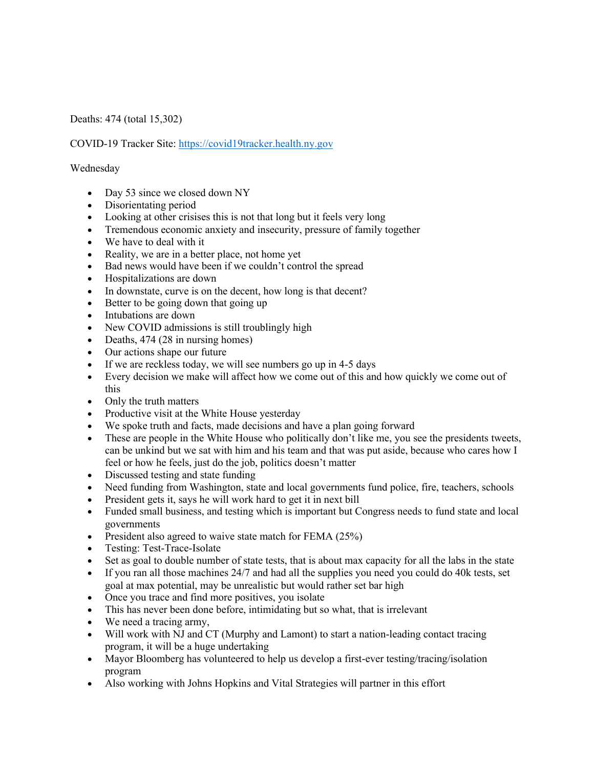Deaths: 474 (total 15,302)

COVID-19 Tracker Site: https://covid19tracker.health.ny.gov

Wednesday

- Day 53 since we closed down NY
- Disorientating period
- Looking at other crisises this is not that long but it feels very long
- Tremendous economic anxiety and insecurity, pressure of family together
- We have to deal with it
- Reality, we are in a better place, not home yet
- Bad news would have been if we couldn't control the spread
- Hospitalizations are down
- In downstate, curve is on the decent, how long is that decent?
- Better to be going down that going up
- Intubations are down
- New COVID admissions is still troublingly high
- Deaths, 474 (28 in nursing homes)
- Our actions shape our future
- If we are reckless today, we will see numbers go up in 4-5 days
- Every decision we make will affect how we come out of this and how quickly we come out of this
- Only the truth matters
- Productive visit at the White House yesterday
- We spoke truth and facts, made decisions and have a plan going forward
- These are people in the White House who politically don't like me, you see the presidents tweets, can be unkind but we sat with him and his team and that was put aside, because who cares how I feel or how he feels, just do the job, politics doesn't matter
- Discussed testing and state funding
- Need funding from Washington, state and local governments fund police, fire, teachers, schools
- President gets it, says he will work hard to get it in next bill
- Funded small business, and testing which is important but Congress needs to fund state and local governments
- President also agreed to waive state match for FEMA (25%)
- Testing: Test-Trace-Isolate
- Set as goal to double number of state tests, that is about max capacity for all the labs in the state
- If you ran all those machines 24/7 and had all the supplies you need you could do 40k tests, set goal at max potential, may be unrealistic but would rather set bar high
- Once you trace and find more positives, you isolate
- This has never been done before, intimidating but so what, that is irrelevant
- We need a tracing army,
- Will work with NJ and CT (Murphy and Lamont) to start a nation-leading contact tracing program, it will be a huge undertaking
- Mayor Bloomberg has volunteered to help us develop a first-ever testing/tracing/isolation program
- Also working with Johns Hopkins and Vital Strategies will partner in this effort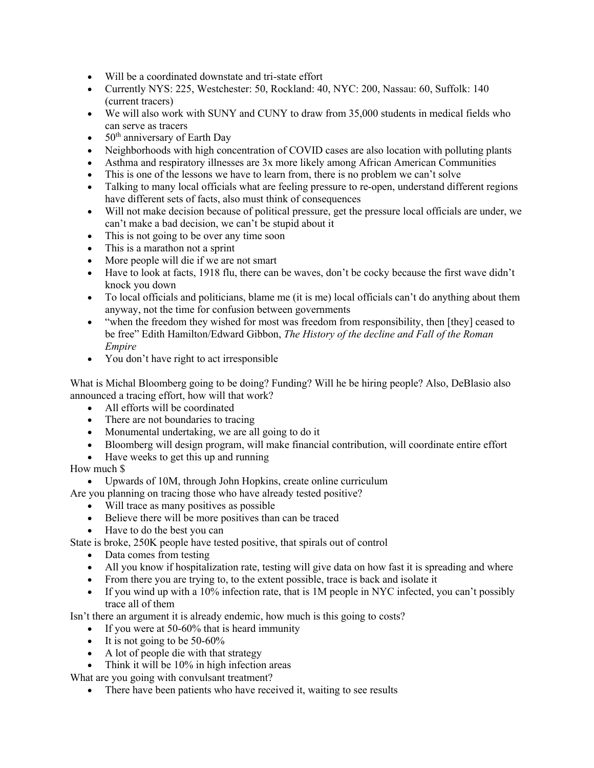- Will be a coordinated downstate and tri-state effort
- Currently NYS: 225, Westchester: 50, Rockland: 40, NYC: 200, Nassau: 60, Suffolk: 140 (current tracers)
- We will also work with SUNY and CUNY to draw from 35,000 students in medical fields who can serve as tracers
- $50<sup>th</sup>$  anniversary of Earth Day
- Neighborhoods with high concentration of COVID cases are also location with polluting plants
- Asthma and respiratory illnesses are 3x more likely among African American Communities
- This is one of the lessons we have to learn from, there is no problem we can't solve
- Talking to many local officials what are feeling pressure to re-open, understand different regions have different sets of facts, also must think of consequences
- Will not make decision because of political pressure, get the pressure local officials are under, we can't make a bad decision, we can't be stupid about it
- This is not going to be over any time soon
- This is a marathon not a sprint
- More people will die if we are not smart
- Have to look at facts, 1918 flu, there can be waves, don't be cocky because the first wave didn't knock you down
- To local officials and politicians, blame me (it is me) local officials can't do anything about them anyway, not the time for confusion between governments
- "when the freedom they wished for most was freedom from responsibility, then [they] ceased to be free" Edith Hamilton/Edward Gibbon, *The History of the decline and Fall of the Roman Empire*
- You don't have right to act irresponsible

What is Michal Bloomberg going to be doing? Funding? Will he be hiring people? Also, DeBlasio also announced a tracing effort, how will that work?

- All efforts will be coordinated
- There are not boundaries to tracing
- Monumental undertaking, we are all going to do it
- Bloomberg will design program, will make financial contribution, will coordinate entire effort
- Have weeks to get this up and running

How much \$

- Upwards of 10M, through John Hopkins, create online curriculum
- Are you planning on tracing those who have already tested positive?
	- Will trace as many positives as possible
	- Believe there will be more positives than can be traced
	- Have to do the best you can

State is broke, 250K people have tested positive, that spirals out of control

- Data comes from testing
- All you know if hospitalization rate, testing will give data on how fast it is spreading and where
- From there you are trying to, to the extent possible, trace is back and isolate it
- If you wind up with a 10% infection rate, that is 1M people in NYC infected, you can't possibly trace all of them

Isn't there an argument it is already endemic, how much is this going to costs?

- If you were at 50-60% that is heard immunity
- It is not going to be  $50-60\%$
- A lot of people die with that strategy
- Think it will be 10% in high infection areas

What are you going with convulsant treatment?

• There have been patients who have received it, waiting to see results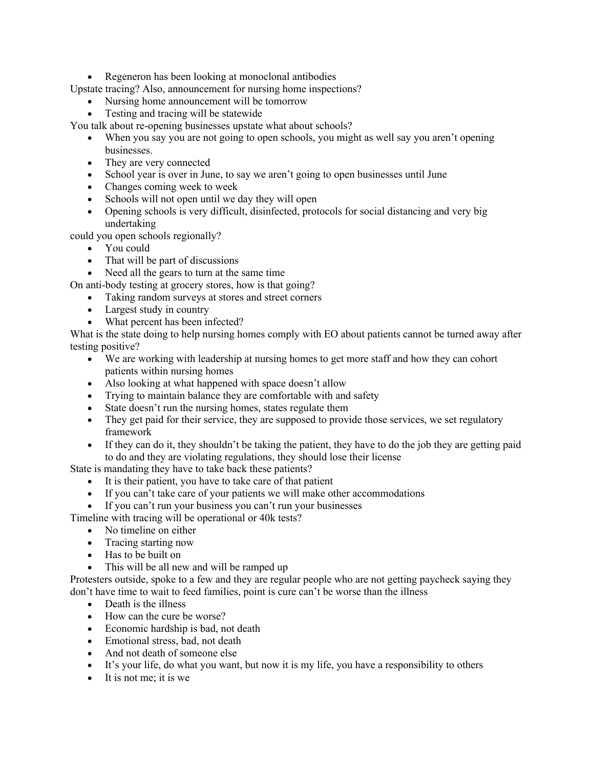• Regeneron has been looking at monoclonal antibodies

Upstate tracing? Also, announcement for nursing home inspections?

- Nursing home announcement will be tomorrow
- Testing and tracing will be statewide

You talk about re-opening businesses upstate what about schools?

- When you say you are not going to open schools, you might as well say you aren't opening businesses.
- They are very connected
- School year is over in June, to say we aren't going to open businesses until June
- Changes coming week to week
- Schools will not open until we day they will open
- Opening schools is very difficult, disinfected, protocols for social distancing and very big undertaking

could you open schools regionally?

- You could
- That will be part of discussions
- Need all the gears to turn at the same time

On anti-body testing at grocery stores, how is that going?

- Taking random surveys at stores and street corners
	- Largest study in country
	- What percent has been infected?

What is the state doing to help nursing homes comply with EO about patients cannot be turned away after testing positive?

- We are working with leadership at nursing homes to get more staff and how they can cohort patients within nursing homes
- Also looking at what happened with space doesn't allow
- Trying to maintain balance they are comfortable with and safety
- State doesn't run the nursing homes, states regulate them
- They get paid for their service, they are supposed to provide those services, we set regulatory framework
- If they can do it, they shouldn't be taking the patient, they have to do the job they are getting paid to do and they are violating regulations, they should lose their license

State is mandating they have to take back these patients?

- It is their patient, you have to take care of that patient
- If you can't take care of your patients we will make other accommodations
- If you can't run your business you can't run your businesses

Timeline with tracing will be operational or 40k tests?

- No timeline on either
- Tracing starting now
- Has to be built on
- This will be all new and will be ramped up

Protesters outside, spoke to a few and they are regular people who are not getting paycheck saying they don't have time to wait to feed families, point is cure can't be worse than the illness

- Death is the illness
- How can the cure be worse?
- Economic hardship is bad, not death
- Emotional stress, bad, not death
- And not death of someone else
- It's your life, do what you want, but now it is my life, you have a responsibility to others
- It is not me; it is we